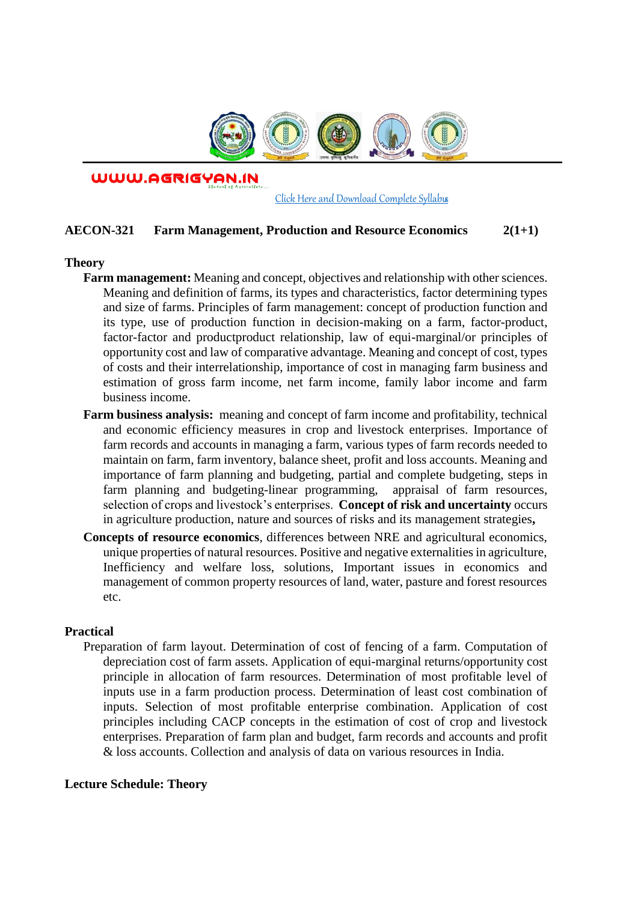

WWW.AGRIGYAN.IN

[Click Here and Download Complete Syllabus](http://agrigyan.in/)

## **AECON-321 Farm Management, Production and Resource Economics 2(1+1)**

#### **Theory**

 $\overline{a}$ 

- **Farm management:** Meaning and concept, objectives and relationship with other sciences. Meaning and definition of farms, its types and characteristics, factor determining types and size of farms. Principles of farm management: concept of production function and its type, use of production function in decision-making on a farm, factor-product, factor-factor and productproduct relationship, law of equi-marginal/or principles of opportunity cost and law of comparative advantage. Meaning and concept of cost, types of costs and their interrelationship, importance of cost in managing farm business and estimation of gross farm income, net farm income, family labor income and farm business income.
- **Farm business analysis:** meaning and concept of farm income and profitability, technical and economic efficiency measures in crop and livestock enterprises. Importance of farm records and accounts in managing a farm, various types of farm records needed to maintain on farm, farm inventory, balance sheet, profit and loss accounts. Meaning and importance of farm planning and budgeting, partial and complete budgeting, steps in farm planning and budgeting-linear programming, appraisal of farm resources, selection of crops and livestock's enterprises. **Concept of risk and uncertainty** occurs in agriculture production, nature and sources of risks and its management strategies**,**
- **Concepts of resource economics**, differences between NRE and agricultural economics, unique properties of natural resources. Positive and negative externalities in agriculture, Inefficiency and welfare loss, solutions, Important issues in economics and management of common property resources of land, water, pasture and forest resources etc.

## **Practical**

Preparation of farm layout. Determination of cost of fencing of a farm. Computation of depreciation cost of farm assets. Application of equi-marginal returns/opportunity cost principle in allocation of farm resources. Determination of most profitable level of inputs use in a farm production process. Determination of least cost combination of inputs. Selection of most profitable enterprise combination. Application of cost principles including CACP concepts in the estimation of cost of crop and livestock enterprises. Preparation of farm plan and budget, farm records and accounts and profit & loss accounts. Collection and analysis of data on various resources in India.

### **Lecture Schedule: Theory**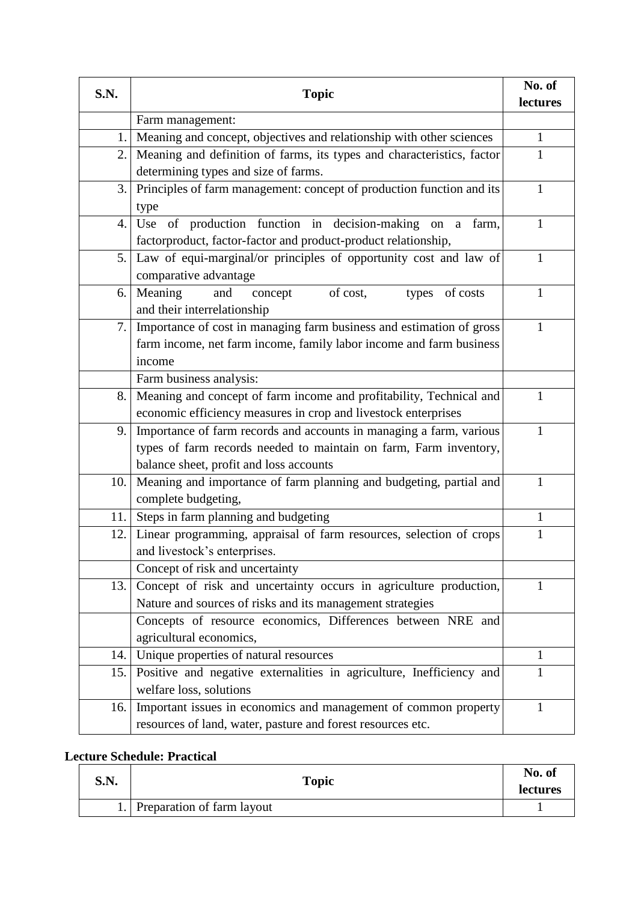| S.N.<br><b>Topic</b> |                                                                           | No. of       |
|----------------------|---------------------------------------------------------------------------|--------------|
|                      |                                                                           | lectures     |
|                      | Farm management:                                                          |              |
| 1.                   | Meaning and concept, objectives and relationship with other sciences      | $\mathbf 1$  |
| 2.                   | Meaning and definition of farms, its types and characteristics, factor    | $\mathbf{1}$ |
|                      | determining types and size of farms.                                      |              |
| 3.                   | Principles of farm management: concept of production function and its     | 1            |
|                      | type                                                                      |              |
| 4.                   | Use of production function in decision-making on<br>farm,<br>$\mathbf{a}$ | 1            |
|                      | factorproduct, factor-factor and product-product relationship,            |              |
| 5.                   | Law of equi-marginal/or principles of opportunity cost and law of         | $\mathbf{1}$ |
|                      | comparative advantage                                                     |              |
| 6.                   | Meaning<br>and<br>of cost,<br>concept<br>types of costs                   | $\mathbf{1}$ |
|                      | and their interrelationship                                               |              |
| 7.                   | Importance of cost in managing farm business and estimation of gross      | 1            |
|                      | farm income, net farm income, family labor income and farm business       |              |
|                      | income                                                                    |              |
|                      | Farm business analysis:                                                   |              |
| 8.                   | Meaning and concept of farm income and profitability, Technical and       | 1            |
|                      | economic efficiency measures in crop and livestock enterprises            |              |
| 9.                   | Importance of farm records and accounts in managing a farm, various       | 1            |
|                      | types of farm records needed to maintain on farm, Farm inventory,         |              |
|                      | balance sheet, profit and loss accounts                                   |              |
| 10.                  | Meaning and importance of farm planning and budgeting, partial and        | $\mathbf{1}$ |
|                      | complete budgeting,                                                       |              |
| 11.                  | Steps in farm planning and budgeting                                      | 1            |
| 12.                  | Linear programming, appraisal of farm resources, selection of crops       | 1            |
|                      | and livestock's enterprises.                                              |              |
|                      | Concept of risk and uncertainty                                           |              |
| 13.                  | Concept of risk and uncertainty occurs in agriculture production,         | 1            |
|                      | Nature and sources of risks and its management strategies                 |              |
|                      | Concepts of resource economics, Differences between NRE and               |              |
|                      | agricultural economics,                                                   |              |
| 14.                  | Unique properties of natural resources                                    | 1            |
| 15.                  | Positive and negative externalities in agriculture, Inefficiency and      | 1            |
|                      | welfare loss, solutions                                                   |              |
| 16.                  | Important issues in economics and management of common property           | 1            |
|                      | resources of land, water, pasture and forest resources etc.               |              |

# **Lecture Schedule: Practical**

| S.N. | <b>Topic</b>               | No. of<br><b>lectures</b> |
|------|----------------------------|---------------------------|
|      | Preparation of farm layout |                           |